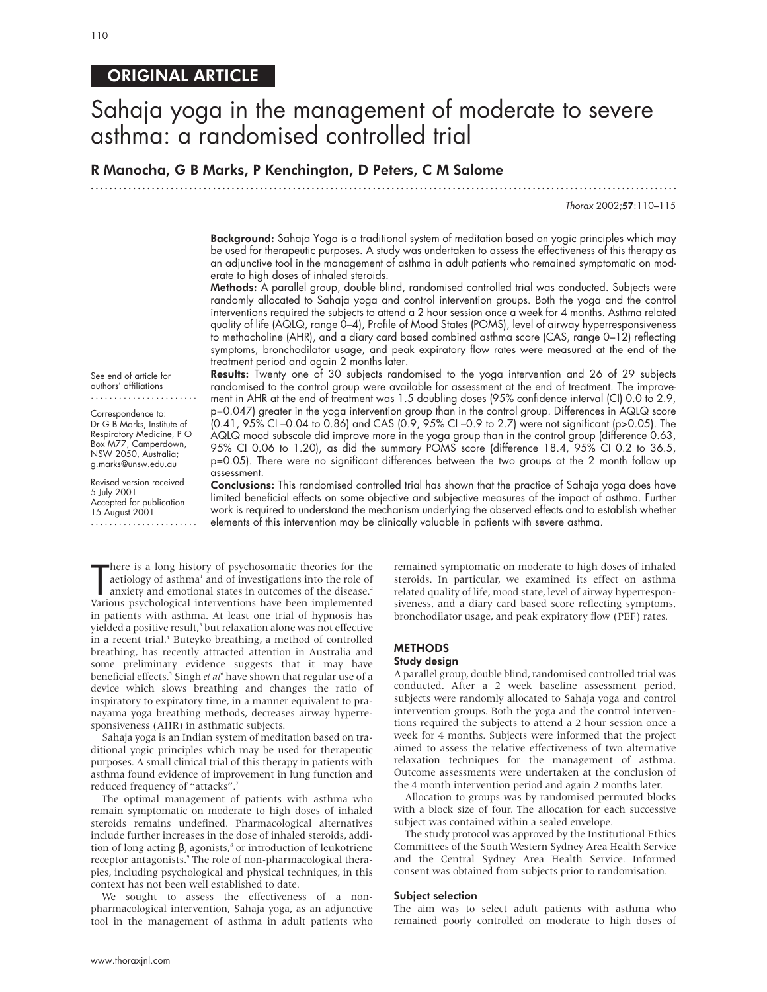# ORIGINAL ARTICLE

# Sahaja yoga in the management of moderate to severe asthma: a randomised controlled trial

# R Manocha, G B Marks, P Kenchington, D Peters, C M Salome

.............................................................................................................................

Thorax 2002;57:110–115

Background: Sahaja Yoga is a traditional system of meditation based on yogic principles which may be used for therapeutic purposes. A study was undertaken to assess the effectiveness of this therapy as an adjunctive tool in the management of asthma in adult patients who remained symptomatic on moderate to high doses of inhaled steroids.

Methods: A parallel group, double blind, randomised controlled trial was conducted. Subjects were randomly allocated to Sahaja yoga and control intervention groups. Both the yoga and the control interventions required the subjects to attend a 2 hour session once a week for 4 months. Asthma related quality of life (AQLQ, range 0–4), Profile of Mood States (POMS), level of airway hyperresponsiveness to methacholine (AHR), and a diary card based combined asthma score (CAS, range 0–12) reflecting symptoms, bronchodilator usage, and peak expiratory flow rates were measured at the end of the treatment period and again 2 months later.

See end of article for authors' affiliations .......................

Correspondence to: Dr G B Marks, Institute of Respiratory Medicine, P O Box M77, Camperdown, NSW 2050, Australia; g.marks@unsw.edu.au

Revised version received 5 July 2001 Accepted for publication 15 August 2001 .......................

Results: Twenty one of 30 subjects randomised to the yoga intervention and 26 of 29 subjects randomised to the control group were available for assessment at the end of treatment. The improvement in AHR at the end of treatment was 1.5 doubling doses (95% confidence interval (CI) 0.0 to 2.9, p=0.047) greater in the yoga intervention group than in the control group. Differences in AQLQ score (0.41, 95% CI –0.04 to 0.86) and CAS (0.9, 95% CI –0.9 to 2.7) were not significant (p>0.05). The AQLQ mood subscale did improve more in the yoga group than in the control group (difference 0.63, 95% CI 0.06 to 1.20), as did the summary POMS score (difference 18.4, 95% CI 0.2 to 36.5, p=0.05). There were no significant differences between the two groups at the 2 month follow up assessment.

Conclusions: This randomised controlled trial has shown that the practice of Sahaja yoga does have limited beneficial effects on some objective and subjective measures of the impact of asthma. Further work is required to understand the mechanism underlying the observed effects and to establish whether elements of this intervention may be clinically valuable in patients with severe asthma.

There is a long history of psychosomatic theories for the aetiology of asthma<sup>1</sup> and of investigations into the role of anxiety and emotional states in outcomes of the disease.<sup>2</sup><br>Various psychological interventions have b here is a long history of psychosomatic theories for the aetiology of asthma<sup>1</sup> and of investigations into the role of anxiety and emotional states in outcomes of the disease.<sup>2</sup> in patients with asthma. At least one trial of hypnosis has yielded a positive result,<sup>3</sup> but relaxation alone was not effective in a recent trial.<sup>4</sup> Buteyko breathing, a method of controlled breathing, has recently attracted attention in Australia and some preliminary evidence suggests that it may have beneficial effects.<sup>5</sup> Singh *et al*<sup>6</sup> have shown that regular use of a device which slows breathing and changes the ratio of inspiratory to expiratory time, in a manner equivalent to pranayama yoga breathing methods, decreases airway hyperresponsiveness (AHR) in asthmatic subjects.

Sahaja yoga is an Indian system of meditation based on traditional yogic principles which may be used for therapeutic purposes. A small clinical trial of this therapy in patients with asthma found evidence of improvement in lung function and reduced frequency of "attacks".<sup>7</sup>

The optimal management of patients with asthma who remain symptomatic on moderate to high doses of inhaled steroids remains undefined. Pharmacological alternatives include further increases in the dose of inhaled steroids, addition of long acting  $\beta_2$  agonists,<sup>8</sup> or introduction of leukotriene receptor antagonists.<sup>9</sup> The role of non-pharmacological therapies, including psychological and physical techniques, in this context has not been well established to date.

We sought to assess the effectiveness of a nonpharmacological intervention, Sahaja yoga, as an adjunctive tool in the management of asthma in adult patients who

remained symptomatic on moderate to high doses of inhaled steroids. In particular, we examined its effect on asthma related quality of life, mood state, level of airway hyperresponsiveness, and a diary card based score reflecting symptoms, bronchodilator usage, and peak expiratory flow (PEF) rates.

# **METHODS**

# Study design

A parallel group, double blind, randomised controlled trial was conducted. After a 2 week baseline assessment period, subjects were randomly allocated to Sahaja yoga and control intervention groups. Both the yoga and the control interventions required the subjects to attend a 2 hour session once a week for 4 months. Subjects were informed that the project aimed to assess the relative effectiveness of two alternative relaxation techniques for the management of asthma. Outcome assessments were undertaken at the conclusion of the 4 month intervention period and again 2 months later.

Allocation to groups was by randomised permuted blocks with a block size of four. The allocation for each successive subject was contained within a sealed envelope.

The study protocol was approved by the Institutional Ethics Committees of the South Western Sydney Area Health Service and the Central Sydney Area Health Service. Informed consent was obtained from subjects prior to randomisation.

### Subject selection

The aim was to select adult patients with asthma who remained poorly controlled on moderate to high doses of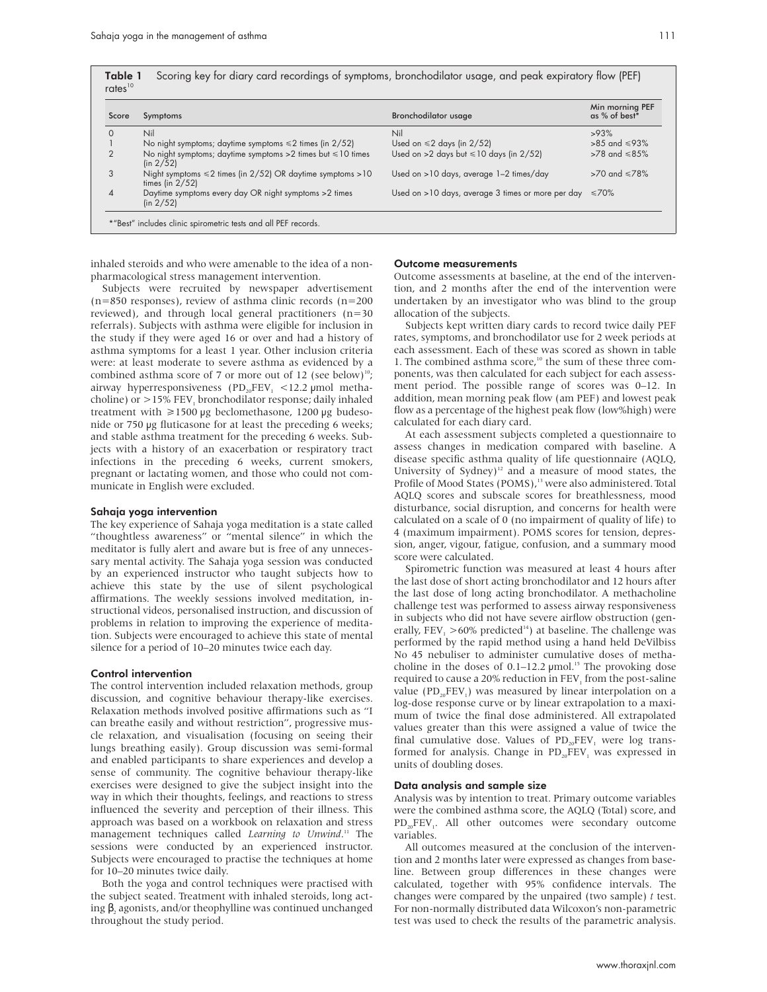| Score          | Symptoms                                                                               | <b>Bronchodilator usage</b>                       | Min morning PEF<br>as % of best* |
|----------------|----------------------------------------------------------------------------------------|---------------------------------------------------|----------------------------------|
| $\Omega$       | Nil                                                                                    | Nil                                               | >93%                             |
|                | No night symptoms; daytime symptoms $\leq 2$ times (in 2/52)                           | Used on $\leq 2$ days (in 2/52)                   | $>85$ and $\leq 93\%$            |
| $\overline{2}$ | No night symptoms; daytime symptoms $>2$ times but $\leq 10$ times<br>(in 2/52)        | Used on >2 days but $\leq 10$ days (in 2/52)      | $>78$ and $\leq 85\%$            |
| 3              | Night symptoms $\leq 2$ times (in 2/52) OR daytime symptoms > 10<br>times (in $2/52$ ) | Used on >10 days, average 1-2 times/day           | $>70$ and $\leq 78\%$            |
| 4              | Daytime symptoms every day OR night symptoms > 2 times<br>(in 2/52)                    | Used on >10 days, average 3 times or more per day | $≤70%$                           |

inhaled steroids and who were amenable to the idea of a nonpharmacological stress management intervention.

Subjects were recruited by newspaper advertisement (n=850 responses), review of asthma clinic records (n=200 reviewed), and through local general practitioners (n=30 referrals). Subjects with asthma were eligible for inclusion in the study if they were aged 16 or over and had a history of asthma symptoms for a least 1 year. Other inclusion criteria were: at least moderate to severe asthma as evidenced by a combined asthma score of 7 or more out of 12 (see below)<sup>10</sup>; airway hyperresponsiveness (PD<sub>20</sub>FEV<sub>1</sub> <12.2 µmol methacholine) or  $>$ 15% FEV<sub>1</sub> bronchodilator response; daily inhaled treatment with  $\geq 1500 \text{ µg}$  beclomethasone, 1200  $\text{µg}$  budesonide or 750 µg fluticasone for at least the preceding 6 weeks; and stable asthma treatment for the preceding 6 weeks. Subjects with a history of an exacerbation or respiratory tract infections in the preceding 6 weeks, current smokers, pregnant or lactating women, and those who could not communicate in English were excluded.

### Sahaja yoga intervention

The key experience of Sahaja yoga meditation is a state called "thoughtless awareness" or "mental silence" in which the meditator is fully alert and aware but is free of any unnecessary mental activity. The Sahaja yoga session was conducted by an experienced instructor who taught subjects how to achieve this state by the use of silent psychological affirmations. The weekly sessions involved meditation, instructional videos, personalised instruction, and discussion of problems in relation to improving the experience of meditation. Subjects were encouraged to achieve this state of mental silence for a period of 10–20 minutes twice each day.

### Control intervention

The control intervention included relaxation methods, group discussion, and cognitive behaviour therapy-like exercises. Relaxation methods involved positive affirmations such as "I can breathe easily and without restriction", progressive muscle relaxation, and visualisation (focusing on seeing their lungs breathing easily). Group discussion was semi-formal and enabled participants to share experiences and develop a sense of community. The cognitive behaviour therapy-like exercises were designed to give the subject insight into the way in which their thoughts, feelings, and reactions to stress influenced the severity and perception of their illness. This approach was based on a workbook on relaxation and stress management techniques called *Learning to Unwind*. <sup>11</sup> The sessions were conducted by an experienced instructor. Subjects were encouraged to practise the techniques at home for 10–20 minutes twice daily.

Both the yoga and control techniques were practised with the subject seated. Treatment with inhaled steroids, long acting  $\beta_2$  agonists, and/or theophylline was continued unchanged throughout the study period.

#### Outcome measurements

Outcome assessments at baseline, at the end of the intervention, and 2 months after the end of the intervention were undertaken by an investigator who was blind to the group allocation of the subjects.

Subjects kept written diary cards to record twice daily PEF rates, symptoms, and bronchodilator use for 2 week periods at each assessment. Each of these was scored as shown in table 1. The combined asthma score, $10$ <sup>th</sup> the sum of these three components, was then calculated for each subject for each assessment period. The possible range of scores was 0–12. In addition, mean morning peak flow (am PEF) and lowest peak flow as a percentage of the highest peak flow (low%high) were calculated for each diary card.

At each assessment subjects completed a questionnaire to assess changes in medication compared with baseline. A disease specific asthma quality of life questionnaire (AQLQ, University of Sydney)<sup>12</sup> and a measure of mood states, the Profile of Mood States (POMS),<sup>13</sup> were also administered. Total AQLQ scores and subscale scores for breathlessness, mood disturbance, social disruption, and concerns for health were calculated on a scale of 0 (no impairment of quality of life) to 4 (maximum impairment). POMS scores for tension, depression, anger, vigour, fatigue, confusion, and a summary mood score were calculated.

Spirometric function was measured at least 4 hours after the last dose of short acting bronchodilator and 12 hours after the last dose of long acting bronchodilator. A methacholine challenge test was performed to assess airway responsiveness in subjects who did not have severe airflow obstruction (generally, FEV<sub>1</sub> >60% predicted<sup>14</sup>) at baseline. The challenge was performed by the rapid method using a hand held DeVilbiss No 45 nebuliser to administer cumulative doses of methacholine in the doses of 0.1–12.2  $\mu$ mol.<sup>15</sup> The provoking dose required to cause a 20% reduction in  $FEV<sub>1</sub>$  from the post-saline value (PD<sub>20</sub>FEV<sub>1</sub>) was measured by linear interpolation on a log-dose response curve or by linear extrapolation to a maximum of twice the final dose administered. All extrapolated values greater than this were assigned a value of twice the final cumulative dose. Values of  $PD_{20}FEV$ , were log transformed for analysis. Change in  $PD_{20}FEV_1$  was expressed in units of doubling doses.

### Data analysis and sample size

Analysis was by intention to treat. Primary outcome variables were the combined asthma score, the AQLQ (Total) score, and  $PD_{20}FEV$ . All other outcomes were secondary outcome variables.

All outcomes measured at the conclusion of the intervention and 2 months later were expressed as changes from baseline. Between group differences in these changes were calculated, together with 95% confidence intervals. The changes were compared by the unpaired (two sample) *t* test. For non-normally distributed data Wilcoxon's non-parametric test was used to check the results of the parametric analysis.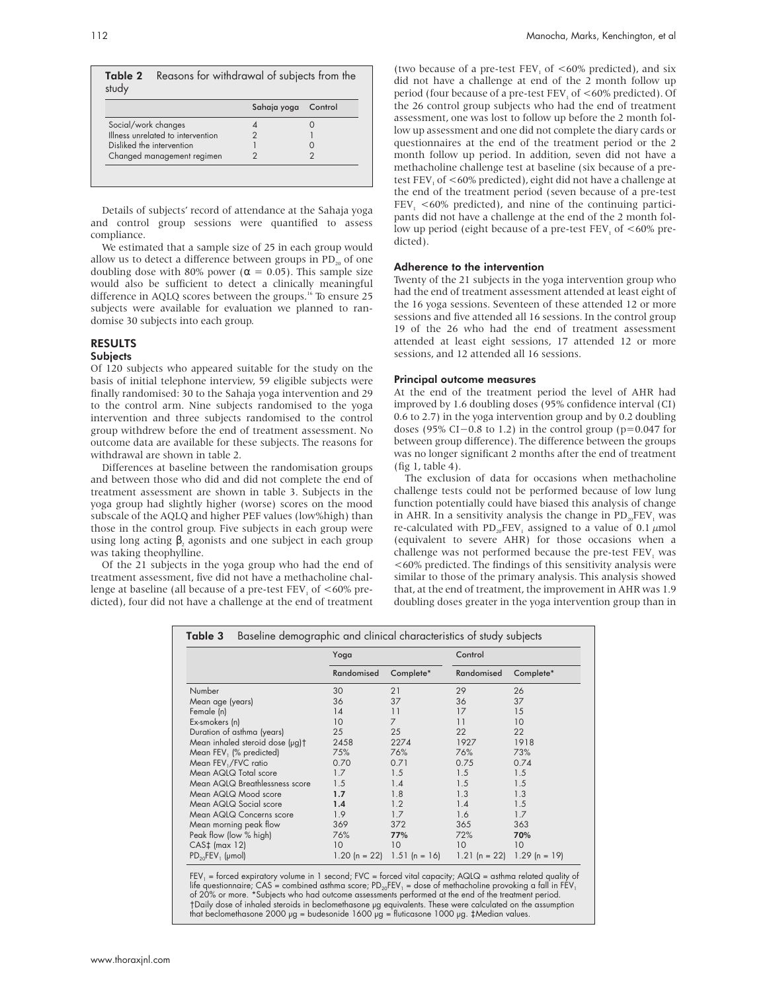|       | Table 2 Reasons for withdrawal of subjects from the |
|-------|-----------------------------------------------------|
| study |                                                     |

|                                   | Sahaja yoga Control |  |
|-----------------------------------|---------------------|--|
| Social/work changes               |                     |  |
| Illness unrelated to intervention |                     |  |
| Disliked the intervention         |                     |  |
| Changed management regimen        |                     |  |

Details of subjects' record of attendance at the Sahaja yoga and control group sessions were quantified to assess compliance.

We estimated that a sample size of 25 in each group would allow us to detect a difference between groups in  $PD_{20}$  of one doubling dose with 80% power ( $\alpha = 0.05$ ). This sample size would also be sufficient to detect a clinically meaningful difference in AQLQ scores between the groups.<sup>16</sup> To ensure 25 subjects were available for evaluation we planned to randomise 30 subjects into each group.

# RESULTS

## Subjects

Of 120 subjects who appeared suitable for the study on the basis of initial telephone interview, 59 eligible subjects were finally randomised: 30 to the Sahaja yoga intervention and 29 to the control arm. Nine subjects randomised to the yoga intervention and three subjects randomised to the control group withdrew before the end of treatment assessment. No outcome data are available for these subjects. The reasons for withdrawal are shown in table 2.

Differences at baseline between the randomisation groups and between those who did and did not complete the end of treatment assessment are shown in table 3. Subjects in the yoga group had slightly higher (worse) scores on the mood subscale of the AQLQ and higher PEF values (low%high) than those in the control group. Five subjects in each group were using long acting β, agonists and one subject in each group was taking theophylline.

Of the 21 subjects in the yoga group who had the end of treatment assessment, five did not have a methacholine challenge at baseline (all because of a pre-test FEV<sub>1</sub> of  $<60\%$  predicted), four did not have a challenge at the end of treatment

(two because of a pre-test FEV<sub>1</sub> of  $<60\%$  predicted), and six did not have a challenge at end of the 2 month follow up period (four because of a pre-test  $FEV<sub>1</sub>$  of  $<60\%$  predicted). Of the 26 control group subjects who had the end of treatment assessment, one was lost to follow up before the 2 month follow up assessment and one did not complete the diary cards or questionnaires at the end of the treatment period or the 2 month follow up period. In addition, seven did not have a methacholine challenge test at baseline (six because of a pretest FEV<sub>1</sub> of <60% predicted), eight did not have a challenge at the end of the treatment period (seven because of a pre-test  $FEV<sub>1</sub> < 60\%$  predicted), and nine of the continuing participants did not have a challenge at the end of the 2 month follow up period (eight because of a pre-test  $FEV<sub>1</sub>$  of  $<60\%$  predicted).

### Adherence to the intervention

Twenty of the 21 subjects in the yoga intervention group who had the end of treatment assessment attended at least eight of the 16 yoga sessions. Seventeen of these attended 12 or more sessions and five attended all 16 sessions. In the control group 19 of the 26 who had the end of treatment assessment attended at least eight sessions, 17 attended 12 or more sessions, and 12 attended all 16 sessions.

### Principal outcome measures

At the end of the treatment period the level of AHR had improved by 1.6 doubling doses (95% confidence interval (CI) 0.6 to 2.7) in the yoga intervention group and by 0.2 doubling doses (95% CI−0.8 to 1.2) in the control group (p=0.047 for between group difference). The difference between the groups was no longer significant 2 months after the end of treatment (fig 1, table 4).

The exclusion of data for occasions when methacholine challenge tests could not be performed because of low lung function potentially could have biased this analysis of change in AHR. In a sensitivity analysis the change in  $PD_{20}FEV$ <sub>1</sub> was re-calculated with  $PD_{20}FEV_1$  assigned to a value of 0.1  $\mu$ mol (equivalent to severe AHR) for those occasions when a challenge was not performed because the pre-test FEV, was <60% predicted. The findings of this sensitivity analysis were similar to those of the primary analysis. This analysis showed that, at the end of treatment, the improvement in AHR was 1.9 doubling doses greater in the yoga intervention group than in

|                                 | Yoga          |                | Control       |                 |
|---------------------------------|---------------|----------------|---------------|-----------------|
|                                 | Randomised    | Complete*      | Randomised    | Complete*       |
| Number                          | 30            | 21             | 29            | 26              |
| Mean age (years)                | 36            | 37             | 36            | 37              |
| Female (n)                      | 14            | 11             | 17            | 15              |
| Ex-smokers (n)                  | 10            | $\overline{7}$ | 11            | 10              |
| Duration of asthma (years)      | 25            | 25             | 22            | 22              |
| Mean inhaled steroid dose (µg)† | 2458          | 2274           | 1927          | 1918            |
| Mean FEV, (% predicted)         | 75%           | 76%            | 76%           | 73%             |
| Mean FEV,/FVC ratio             | 0.70          | 0.71           | 0.75          | 0.74            |
| Mean AQLQ Total score           | 1.7           | 1.5            | 1.5           | 1.5             |
| Mean AQLQ Breathlessness score  | 1.5           | 1.4            | 1.5           | 1.5             |
| Mean AQLQ Mood score            | 1.7           | 1.8            | 1.3           | 1.3             |
| Mean AQLQ Social score          | 1.4           | 1.2            | 1.4           | 1.5             |
| Mean AQLQ Concerns score        | 1.9           | 1.7            | 1.6           | 1.7             |
| Mean morning peak flow          | 369           | 372            | 365           | 363             |
| Peak flow (low % high)          | 76%           | 77%            | 72%           | 70%             |
| CAS‡ (max 12)                   | 10            | 10             | 10            | 10              |
| $PD_{20}FEV_1$ (µmol)           | 1.20 (n = 22) | $1.51(n = 16)$ | 1.21 (n = 22) | $1.29$ (n = 19) |

FEV<sub>1</sub> = forced expiratory volume in 1 second; FVC = forced vital capacity; AQLQ = asthma related quality of life questionnaire; CAS = combined asthma score; PD<sub>20</sub>FEV<sub>1</sub> = dose of methacholine provoking a fall in FEV<sub>1</sub><br>of 20% or more. \*Subjects who had outcome assessments performed at the end of the treatment period. †Daily dose of inhaled steroids in beclomethasone µg equivalents. These were calculated on the assumption<br>that beclomethasone 2000 µg = budesonide 1600 µg = fluticasone 1000 µg. ‡Median values.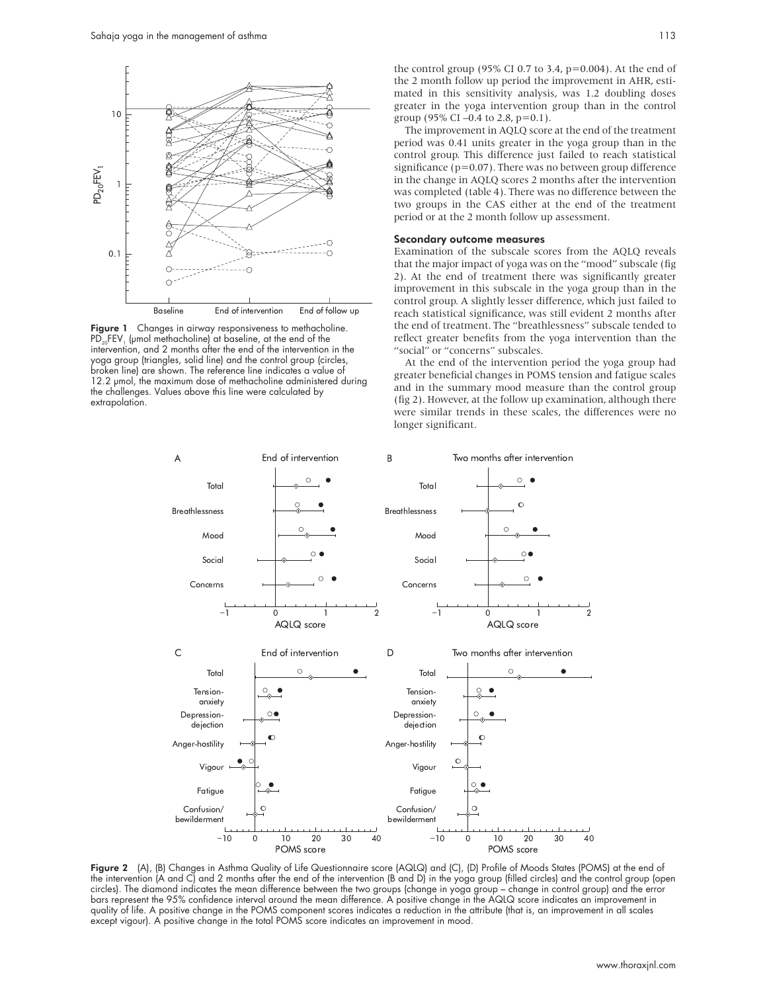

Figure 1 Changes in airway responsiveness to methacholine.  $PD_{20}FEV_1$  (µmol methacholine) at baseline, at the end of the intervention, and 2 months after the end of the intervention in the yoga group (triangles, solid line) and the control group (circles, broken line) are shown. The reference line indicates a value of 12.2 µmol, the maximum dose of methacholine administered during the challenges. Values above this line were calculated by extrapolation.

the control group (95% CI 0.7 to 3.4,  $p=0.004$ ). At the end of the 2 month follow up period the improvement in AHR, estimated in this sensitivity analysis, was 1.2 doubling doses greater in the yoga intervention group than in the control group (95% CI –0.4 to 2.8,  $p=0.1$ ).

The improvement in AQLQ score at the end of the treatment period was 0.41 units greater in the yoga group than in the control group. This difference just failed to reach statistical significance ( $p=0.07$ ). There was no between group difference in the change in AQLQ scores 2 months after the intervention was completed (table 4). There was no difference between the two groups in the CAS either at the end of the treatment period or at the 2 month follow up assessment.

### Secondary outcome measures

Examination of the subscale scores from the AQLQ reveals that the major impact of yoga was on the "mood" subscale (fig 2). At the end of treatment there was significantly greater improvement in this subscale in the yoga group than in the control group. A slightly lesser difference, which just failed to reach statistical significance, was still evident 2 months after the end of treatment. The "breathlessness" subscale tended to reflect greater benefits from the yoga intervention than the "social" or "concerns" subscales.

At the end of the intervention period the yoga group had greater beneficial changes in POMS tension and fatigue scales and in the summary mood measure than the control group (fig 2). However, at the follow up examination, although there were similar trends in these scales, the differences were no longer significant.



Figure 2 (A), (B) Changes in Asthma Quality of Life Questionnaire score (AQLQ) and (C), (D) Profile of Moods States (POMS) at the end of the intervention (A and C) and 2 months after the end of the intervention (B and D) in the yoga group (filled circles) and the control group (open circles). The diamond indicates the mean difference between the two groups (change in yoga group – change in control group) and the error bars represent the 95% confidence interval around the mean difference. A positive change in the AQLQ score indicates an improvement in quality of life. A positive change in the POMS component scores indicates a reduction in the attribute (that is, an improvement in all scales except vigour). A positive change in the total POMS score indicates an improvement in mood.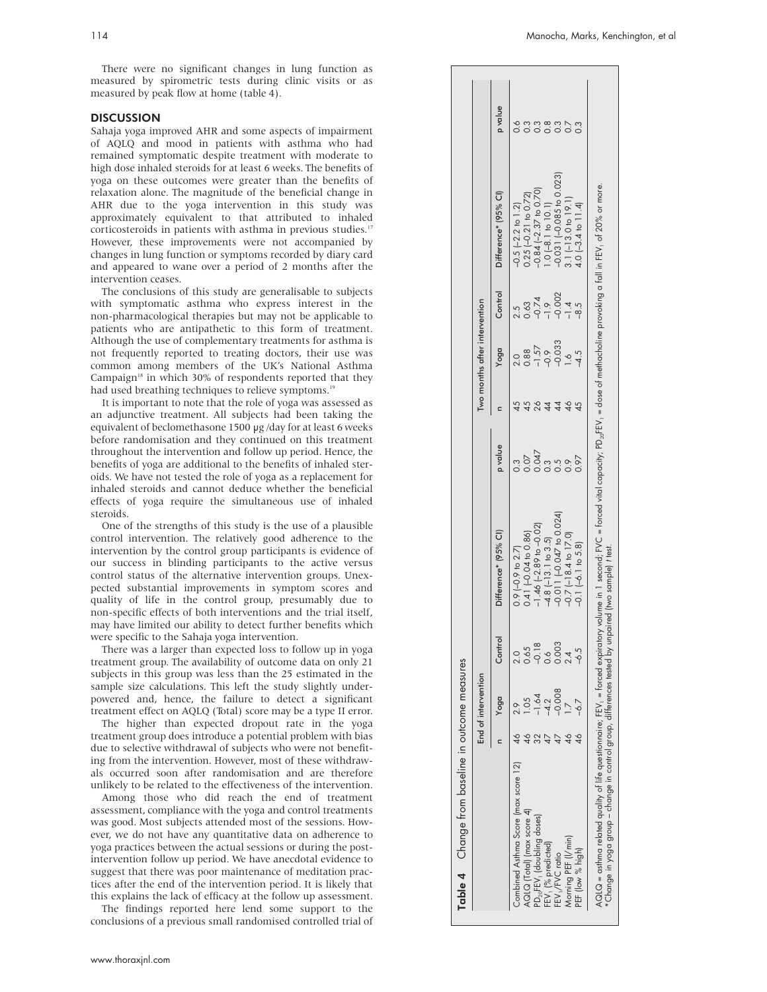There were no significant changes in lung function as measured by spirometric tests during clinic visits or as measured by peak flow at home (table 4).

### **DISCUSSION**

Sahaja yoga improved AHR and some aspects of impairment of AQLQ and mood in patients with asthma who had remained symptomatic despite treatment with moderate to high dose inhaled steroids for at least 6 weeks. The benefits of yoga on these outcomes were greater than the benefits of relaxation alone. The magnitude of the beneficial change in AHR due to the yoga intervention in this study was approximately equivalent to that attributed to inhaled corticosteroids in patients with asthma in previous studies.<sup>17</sup> However, these improvements were not accompanied by changes in lung function or symptoms recorded by diary card and appeared to wane over a period of 2 months after the intervention ceases.

The conclusions of this study are generalisable to subjects with symptomatic asthma who express interest in the non-pharmacological therapies but may not be applicable to patients who are antipathetic to this form of treatment. Although the use of complementary treatments for asthma is not frequently reported to treating doctors, their use was common among members of the UK's National Asthma Campaign $18$  in which 30% of respondents reported that they had used breathing techniques to relieve symptoms.<sup>1</sup>

It is important to note that the role of yoga was assessed as an adjunctive treatment. All subjects had been taking the equivalent of beclomethasone 1500 µg /day for at least 6 weeks before randomisation and they continued on this treatment throughout the intervention and follow up period. Hence, the benefits of yoga are additional to the benefits of inhaled steroids. We have not tested the role of yoga as a replacement for inhaled steroids and cannot deduce whether the beneficial effects of yoga require the simultaneous use of inhaled steroids.

One of the strengths of this study is the use of a plausible control intervention. The relatively good adherence to the intervention by the control group participants is evidence of our success in blinding participants to the active versus control status of the alternative intervention groups. Unexpected substantial improvements in symptom scores and quality of life in the control group, presumably due to non-specific effects of both interventions and the trial itself, may have limited our ability to detect further benefits which were specific to the Sahaja yoga intervention.

There was a larger than expected loss to follow up in yoga treatment group. The availability of outcome data on only 21 subjects in this group was less than the 25 estimated in the sample size calculations. This left the study slightly underpowered and, hence, the failure to detect a significant treatment effect on AQLQ (Total) score may be a type II error.

The higher than expected dropout rate in the yoga treatment group does introduce a potential problem with bias due to selective withdrawal of subjects who were not benefiting from the intervention. However, most of these withdrawals occurred soon after randomisation and are therefore unlikely to be related to the effectiveness of the intervention.

Among those who did reach the end of treatment assessment, compliance with the yoga and control treatments was good. Most subjects attended most of the sessions. However, we do not have any quantitative data on adherence to yoga practices between the actual sessions or during the postintervention follow up period. We have anecdotal evidence to suggest that there was poor maintenance of meditation practices after the end of the intervention period. It is likely that this explains the lack of efficacy at the follow up assessment.

The findings reported here lend some support to the conclusions of a previous small randomised controlled trial of

|                                      | End of intervention |         |                                 |                                  |    | Two months after intervention             |                                            |                              |                |
|--------------------------------------|---------------------|---------|---------------------------------|----------------------------------|----|-------------------------------------------|--------------------------------------------|------------------------------|----------------|
|                                      | Yoga                | Control | Difference* (95% CI)            | p value                          |    | Yoga                                      | Control                                    | Difference* (95% Cl)         | p value        |
| Combined Asthma Score (max score 12) |                     |         | $0.9$ (-0.9 to 2.7)             |                                  |    | $\frac{0}{2}$                             |                                            | $-0.5$ $(-2.2$ to 1.2)       |                |
| AQLQ [Total] (max score              |                     | 0.65    | 0.41 $(-0.04 \text{ to } 0.86)$ |                                  |    |                                           |                                            | $0.25$ $[-0.21$ to $0.72]$   |                |
| $PD_{20}FEV$ (doubling doses)        |                     | $-0.18$ | $-1.46$ $(-2.89$ to $-0.02)$    | 3 0 47<br>3 0 9 9 9<br>0 0 0 0 0 |    |                                           |                                            | $-0.84$ $(-2.37$ to 0.70)    | $\frac{3}{2}$  |
| FEV, (% predicted)                   | $-4.2$              |         | $-4.8$ $[-13.1$ to 3.5          |                                  |    |                                           |                                            | $.0(-8.1 to 10.1)$           | 0.8            |
| FEV <sub>1</sub> /FVC ratio          | $-0.008$            | 0.003   | $-0.011(-0.047)$ to 0.024)      |                                  |    |                                           |                                            | $-0.031 (-0.085)$ to $0.023$ | $\overline{C}$ |
| Morning PEF (I/min)                  |                     |         | $-0.7$ ( $-18.4$ to $17.0$ )    | 0.9                              | 46 | $0.88$<br>$-1.57$<br>$-0.033$<br>$-0.033$ | 2.5<br>0.63<br>0.74<br>0.002<br>9.5<br>9.9 | $1 - 13.06$ 19.1             |                |
| PEF (low % high)                     | 6.7                 | $-6.5$  | $-0.1$ $(-6.1$ to 5.8)          | 0.97                             |    | 4.5                                       |                                            | $(1.0 (-3.4 to 11.4))$       |                |